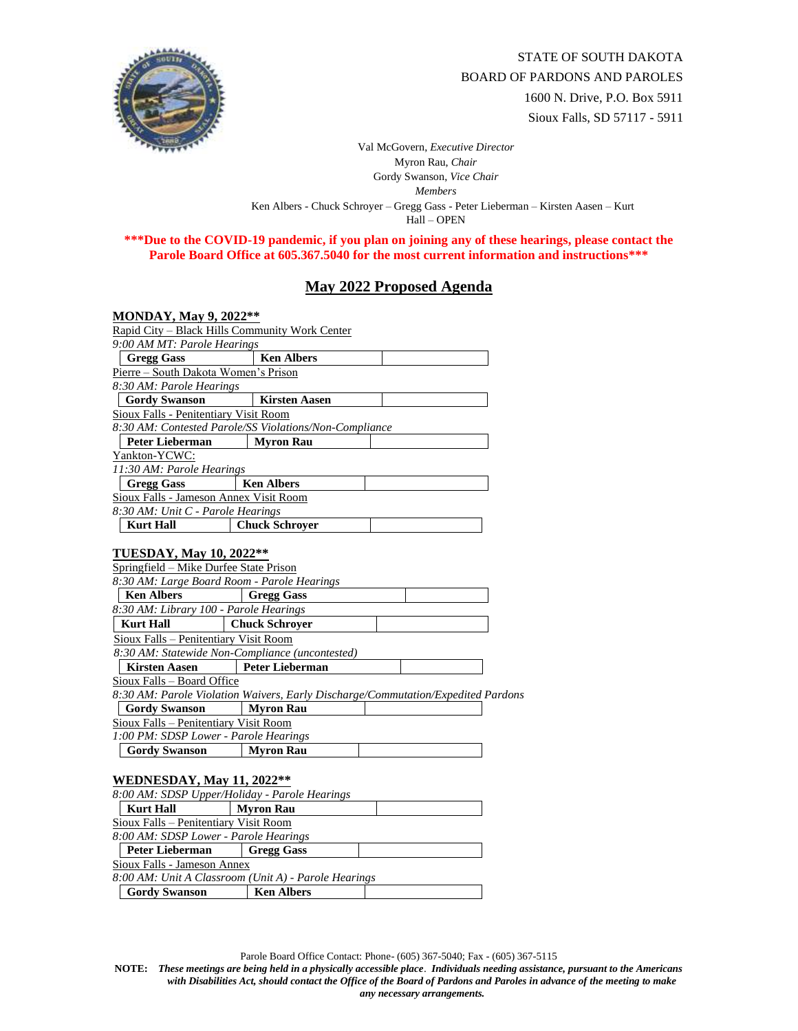

STATE OF SOUTH DAKOTA BOARD OF PARDONS AND PAROLES 1600 N. Drive, P.O. Box 5911 Sioux Falls, SD 57117 - 5911

Val McGovern, *Executive Director* Myron Rau, *Chair*  Gordy Swanson, *Vice Chair Members* Ken Albers - Chuck Schroyer – Gregg Gass - Peter Lieberman – Kirsten Aasen – Kurt Hall – OPEN

**\*\*\*Due to the COVID-19 pandemic, if you plan on joining any of these hearings, please contact the Parole Board Office at 605.367.5040 for the most current information and instructions\*\*\***

## **May 2022 Proposed Agenda**

| MONDAY, May 9, 2022**                                                                                                   |                        |  |  |  |  |
|-------------------------------------------------------------------------------------------------------------------------|------------------------|--|--|--|--|
| Rapid City - Black Hills Community Work Center                                                                          |                        |  |  |  |  |
| 9:00 AM MT: Parole Hearings                                                                                             |                        |  |  |  |  |
| <b>Gregg Gass</b>                                                                                                       | <b>Ken Albers</b>      |  |  |  |  |
| Pierre - South Dakota Women's Prison                                                                                    |                        |  |  |  |  |
| 8:30 AM: Parole Hearings                                                                                                |                        |  |  |  |  |
| <b>Gordy Swanson</b>                                                                                                    | <b>Kirsten Aasen</b>   |  |  |  |  |
| Sioux Falls - Penitentiary Visit Room                                                                                   |                        |  |  |  |  |
| 8:30 AM: Contested Parole/SS Violations/Non-Compliance                                                                  |                        |  |  |  |  |
| <b>Peter Lieberman</b>                                                                                                  | <b>Myron Rau</b>       |  |  |  |  |
| Yankton-YCWC:                                                                                                           |                        |  |  |  |  |
| 11:30 AM: Parole Hearings                                                                                               |                        |  |  |  |  |
| <b>Gregg Gass</b>                                                                                                       | <b>Ken Albers</b>      |  |  |  |  |
| Sioux Falls - Jameson Annex Visit Room                                                                                  |                        |  |  |  |  |
| 8:30 AM: Unit C - Parole Hearings                                                                                       |                        |  |  |  |  |
| <b>Kurt Hall</b>                                                                                                        | <b>Chuck Schrover</b>  |  |  |  |  |
| <b>TUESDAY, May 10, 2022**</b><br>Springfield - Mike Durfee State Prison<br>8:30 AM: Large Board Room - Parole Hearings |                        |  |  |  |  |
| <b>Ken Albers</b>                                                                                                       | <b>Gregg Gass</b>      |  |  |  |  |
| 8:30 AM: Library 100 - Parole Hearings                                                                                  |                        |  |  |  |  |
| <b>Kurt Hall</b>                                                                                                        | <b>Chuck Schrover</b>  |  |  |  |  |
| Sioux Falls - Penitentiary Visit Room                                                                                   |                        |  |  |  |  |
| 8:30 AM: Statewide Non-Compliance (uncontested)                                                                         |                        |  |  |  |  |
| <b>Kirsten Aasen</b>                                                                                                    | <b>Peter Lieberman</b> |  |  |  |  |
| Sioux Falls – Board Office                                                                                              |                        |  |  |  |  |
| 8:30 AM: Parole Violation Waivers, Early Discharge/Commutation/Expedited Pardons                                        |                        |  |  |  |  |
| <b>Gordy Swanson</b>                                                                                                    | <b>Myron Rau</b>       |  |  |  |  |
| Sioux Falls - Penitentiary Visit Room                                                                                   |                        |  |  |  |  |
| 1:00 PM: SDSP Lower - Parole Hearings                                                                                   |                        |  |  |  |  |
| <b>Gordy Swanson</b>                                                                                                    | <b>Myron Rau</b>       |  |  |  |  |
| <b>WEDNESDAY, May 11, 2022**</b>                                                                                        |                        |  |  |  |  |

| <b>Kurt Hall</b>       | <b>Myron Rau</b>  |                                                                                                                                                                                                                        |
|------------------------|-------------------|------------------------------------------------------------------------------------------------------------------------------------------------------------------------------------------------------------------------|
|                        |                   |                                                                                                                                                                                                                        |
|                        |                   |                                                                                                                                                                                                                        |
| <b>Peter Lieberman</b> | <b>Gregg Gass</b> |                                                                                                                                                                                                                        |
|                        |                   |                                                                                                                                                                                                                        |
|                        |                   |                                                                                                                                                                                                                        |
| <b>Gordy Swanson</b>   | <b>Ken Albers</b> |                                                                                                                                                                                                                        |
|                        |                   | 8:00 AM: SDSP Upper/Holiday - Parole Hearings<br>Sioux Falls – Penitentiary Visit Room<br>8:00 AM: SDSP Lower - Parole Hearings<br>Sioux Falls - Jameson Annex<br>8:00 AM: Unit A Classroom (Unit A) - Parole Hearings |

Parole Board Office Contact: Phone- (605) 367-5040; Fax - (605) 367-5115

**NOTE:** *These meetings are being held in a physically accessible place*. *Individuals needing assistance, pursuant to the Americans with Disabilities Act, should contact the Office of the Board of Pardons and Paroles in advance of the meeting to make any necessary arrangements.*